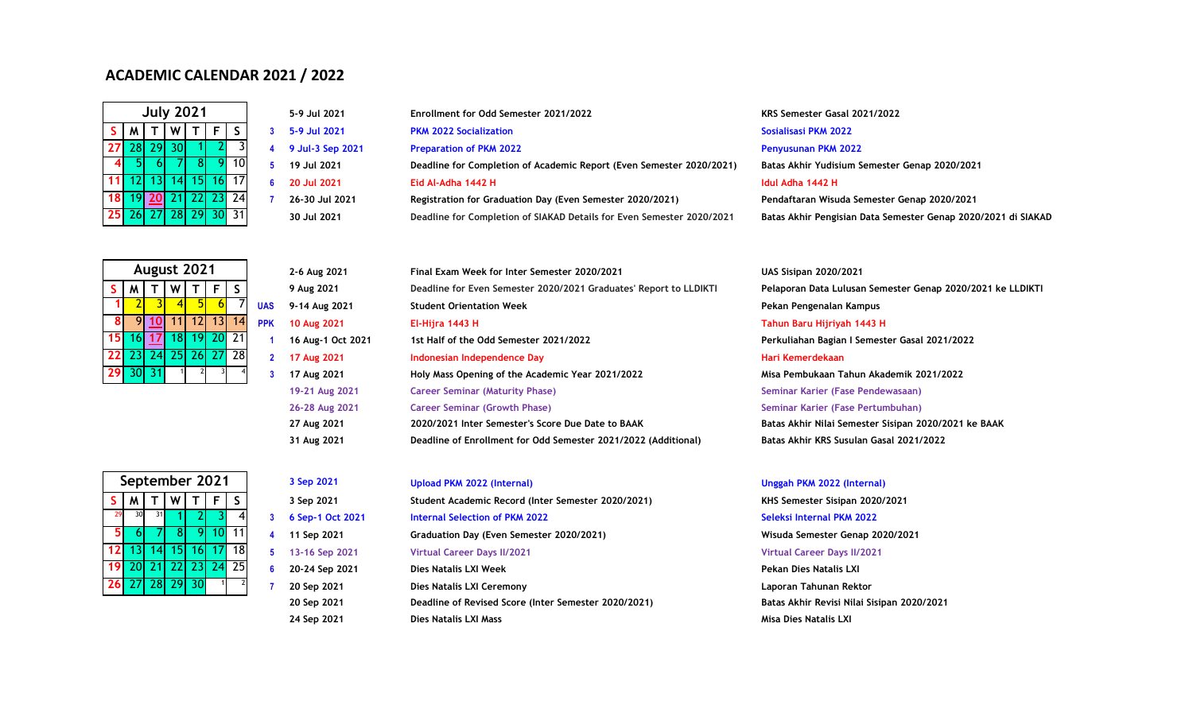# **ACADEMIC CALENDAR 2021 / 2022**

| <b>July 2021</b> |             |         |                |   |                |     |  |  |
|------------------|-------------|---------|----------------|---|----------------|-----|--|--|
| S.               | S<br>F<br>м |         |                |   |                |     |  |  |
| 27               | 28          | 29      | 30             |   | $\overline{2}$ | २   |  |  |
|                  | 5           | 6       |                | 8 |                | 10  |  |  |
| 11               |             | $12$ 13 |                |   | $14$ 15 16     | 17  |  |  |
| 18               |             | 19 20   | 211            |   | $22$ 23        | -24 |  |  |
| 25 I             |             |         | 26 27 28 29 30 |   |                | 31  |  |  |

|   | 5-9 Jul 2021    |
|---|-----------------|
| 3 | 5-9 Jul 2021    |
| 4 | 9 Jul-3 Sep 202 |
| 5 | 19 Jul 2021     |
| 6 | 20 Jul 2021     |
| 7 | 26-30 Jul 2021  |
|   | 10. ו. ו. חר    |

| 5-9 Jul 2021     | Enrollment for Odd Semester 2021/2022                                 | KRS Semester Gasal 2021/2022                                  |
|------------------|-----------------------------------------------------------------------|---------------------------------------------------------------|
| 5-9 Jul 2021     | <b>PKM 2022 Socialization</b>                                         | Sosialisasi PKM 2022                                          |
| 9 Jul-3 Sep 2021 | <b>Preparation of PKM 2022</b>                                        | <b>Penyusunan PKM 2022</b>                                    |
| 19 Jul 2021      | Deadline for Completion of Academic Report (Even Semester 2020/2021)  | Batas Akhir Yudisium Semester Genap 2020/2021                 |
| 20 Jul 2021      | Eid Al-Adha 1442 H                                                    | Idul Adha 1442 H                                              |
| 26-30 Jul 2021   | Registration for Graduation Day (Even Semester 2020/2021)             | Pendaftaran Wisuda Semester Genap 2020/2021                   |
| 30 Jul 2021      | Deadline for Completion of SIAKAD Details for Even Semester 2020/2021 | Batas Akhir Pengisian Data Semester Genap 2020/2021 di SIAKAD |

| S  | м               |         |                   | F          | S   |              |
|----|-----------------|---------|-------------------|------------|-----|--------------|
|    |                 |         | 4                 |            |     | <b>UAS</b>   |
| 8  |                 | 10      | 11                | $12$ 13    | 14  | <b>PPK</b>   |
| 15 |                 | $16$ 17 | 18                | $19$ 20 21 |     |              |
|    |                 |         | 22 23 24 25 26 27 |            | -28 | $\mathbf{2}$ |
| 29 | 30 <sub>l</sub> | 31      |                   |            |     |              |

|                | 2-6 Aug 2021     |
|----------------|------------------|
|                | 9 Aug 2021       |
| AS             | 9-14 Aug 2021    |
| 'PΚ            | 10 Aug 2021      |
| 1              | 16 Aug-1 Oct 202 |
| $\overline{2}$ | 17 Aug 2021      |
| 3              | 17 Aug 2021      |
|                | 19-21 Aug 2021   |
|                | 26-28 Aug 2021   |
|                | 27 Aug 2021      |

|                 |                      | August 2021 |     |      |             |            | 2-6 Aug 2021      | Final Exam Week for Inter Semester 2020/2021                      | <b>UAS Sisipan 2020/2021</b>                    |
|-----------------|----------------------|-------------|-----|------|-------------|------------|-------------------|-------------------------------------------------------------------|-------------------------------------------------|
| S I             | M                    |             |     | WITI | FS          |            | 9 Aug 2021        | Deadline for Even Semester 2020/2021 Graduates' Report to LLDIKTI | Pelaporan Data Lulusan Semester Genap 2020/2    |
|                 |                      |             |     |      |             | <b>UAS</b> | 9-14 Aug 2021     | <b>Student Orientation Week</b>                                   | Pekan Pengenalan Kampus                         |
| <b>81</b>       |                      | 10I         |     |      | 11 12 13 14 | <b>PPK</b> | 10 Aug 2021       | El-Hijra 1443 H                                                   | Tahun Baru Hijriyah 1443 H                      |
| 15 <sup>1</sup> |                      | 16117       | 18I |      | 19 20 21    |            | 16 Aug-1 Oct 2021 | 1st Half of the Odd Semester 2021/2022                            | Perkuliahan Bagian I Semester Gasal 2021/2022   |
|                 | 22 23 24 25 26 27 28 |             |     |      |             |            | 17 Aug 2021       | Indonesian Independence Day                                       | Hari Kemerdekaan                                |
|                 | $29$ 30 31           |             |     |      |             |            | 17 Aug 2021       | Holy Mass Opening of the Academic Year 2021/2022                  | Misa Pembukaan Tahun Akademik 2021/2022         |
|                 |                      |             |     |      |             |            | 19-21 Aug 2021    | <b>Career Seminar (Maturity Phase)</b>                            | Seminar Karier (Fase Pendewasaan)               |
|                 |                      |             |     |      |             |            | 26-28 Aug 2021    | <b>Career Seminar (Growth Phase)</b>                              | Seminar Karier (Fase Pertumbuhan)               |
|                 |                      |             |     |      |             |            | 27 Aug 2021       | 2020/2021 Inter Semester's Score Due Date to BAAK                 | Batas Akhir Nilai Semester Sisipan 2020/2021 ke |
|                 |                      |             |     |      |             |            | 31 Aug 2021       | Deadline of Enrollment for Odd Semester 2021/2022 (Additional)    | Batas Akhir KRS Susulan Gasal 2021/2022         |
|                 |                      |             |     |      |             |            |                   |                                                                   |                                                 |

**26** 27 28 29 30 1 2 **September 2021**

|                |   | 3 Sep 2021           |
|----------------|---|----------------------|
|                |   | 3 Sep 2021           |
| 4              | 3 | 6 Sep-1 Oct          |
| 1              | 4 | 11 Sep 202           |
| 8              | 5 | 13-16 Sep 2          |
| 5              | 6 | 20-24 Sep 2          |
| $\overline{c}$ | 7 | 20 Sep 202           |
|                |   | 20 Sep 202           |
|                |   | $24$ San $202^\circ$ |

|     |     |     | eptember 2021     |                |  | 3 Sep 2021       | Upload PKM 2022 (Internal)                           | Unggah PKM 2022 (Internal)            |
|-----|-----|-----|-------------------|----------------|--|------------------|------------------------------------------------------|---------------------------------------|
| M I |     | W   |                   |                |  | 3 Sep 2021       | Student Academic Record (Inter Semester 2020/2021)   | KHS Semester Sisipan 2020/2021        |
| 30  | 31  |     |                   |                |  | 6 Sep-1 Oct 2021 | <b>Internal Selection of PKM 2022</b>                | Seleksi Internal PKM 2022             |
| 6I. | -71 | -81 |                   | <b>9 10 11</b> |  | 11 Sep 2021      | Graduation Day (Even Semester 2020/2021)             | Wisuda Semester Genap 2020/2021       |
|     |     |     | 13 14 15 16 17 18 |                |  | 13-16 Sep 2021   | <b>Virtual Career Days II/2021</b>                   | <b>Virtual Career Days II/2021</b>    |
|     |     |     | 20 21 22 23 24 25 |                |  | 20-24 Sep 2021   | Dies Natalis LXI Week                                | Pekan Dies Natalis LXI                |
|     |     |     | 27 28 29 30       |                |  | 20 Sep 2021      | Dies Natalis LXI Ceremony                            | Laporan Tahunan Rektor                |
|     |     |     |                   |                |  | 20 Sep 2021      | Deadline of Revised Score (Inter Semester 2020/2021) | Batas Akhir Revisi Nilai Sisipan 2020 |
|     |     |     |                   |                |  |                  |                                                      |                                       |

**S M T W T F S 9 Aug 2021 Deadline for Even Semester 2020/2021 Graduates' Report to LLDIKTI Pelaporan Data Lulusan Semester Genap 2020/2021 ke LLDIKTI 1** 2 3 4 5 6 7 **UAS 9-14 Aug 2021 Student Orientation Week Pekan Pengenalan Kampus 8** 9 **[10](https://www.liburnasional.com/kalender-lengkap-2021/)** 11 12 13 14 **PPK 10 Aug 2021 El-Hijra 1443 H Tahun Baru Hijriyah 1443 H 3 17 Aug 2021 Holy Mass Opening of the Academic Year 2021/2022 Misa Pembukaan Tahun Akademik 2021/2022 19-21 Aug 2021 Career Seminar (Maturity Phase) Seminar Karier (Fase Pendewasaan) 26-28 Aug 2021 Career Seminar (Growth Phase) Seminar Karier (Fase Pertumbuhan) 27 Aug 2021 2020/2021 Inter Semester's Score Due Date to BAAK Batas Akhir Nilai Semester Sisipan 2020/2021 ke BAAK**

**7 20 Sep 2021 Dies Natalis LXI Ceremony Laporan Tahunan Rektor 20 Sep 2021 Deadline of Revised Score (Inter Semester 2020/2021) Batas Akhir Revisi Nilai Sisipan 2020/2021 24 Sep 2021 Dies Natalis LXI Mass Misa Dies Natalis LXI**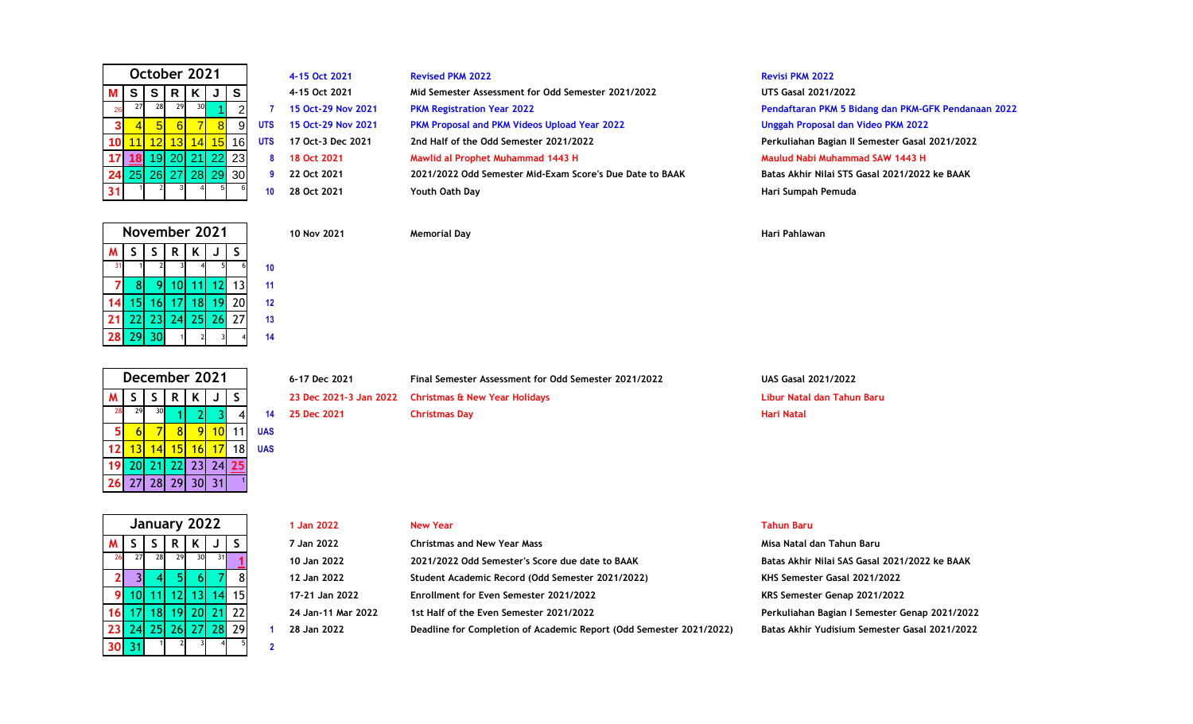| October 2021 |    |    |    |              |    |    |    |  |
|--------------|----|----|----|--------------|----|----|----|--|
|              | S  | S  | R  | Κ            |    | S  |    |  |
| 26           | 27 | 28 | 29 | 30           |    | 2  |    |  |
| 3            |    | 5  | 6  |              | 8  | g  | UT |  |
|              |    | 12 | 13 | 14           | 15 | 16 | UT |  |
|              | 18 | 19 |    | 20 21        | 22 | 23 |    |  |
| 24           | 25 |    |    | $26$ 27 $28$ | 29 | 30 |    |  |
|              |    |    | 3  |              | 5  | 6  |    |  |

|   | 4-15 Oct 2021     |
|---|-------------------|
|   | 4-15 Oct 2021     |
| 7 | 15 Oct-29 Nov 202 |
| S | 15 Oct-29 Nov 202 |
| S | 17 Oct-3 Dec 2021 |
| 8 | 18 Oct 2021       |
| 9 | 22 Oct 2021       |
| n | 28 Oct 2021       |

|      | 4-15 Oct 2021               | <b>Revised PKM 2022</b>                                  | <b>Revisi PKM 2022</b>                              |
|------|-----------------------------|----------------------------------------------------------|-----------------------------------------------------|
|      | 4-15 Oct 2021               | Mid Semester Assessment for Odd Semester 2021/2022       | <b>UTS Gasal 2021/2022</b>                          |
|      | 7 15 Oct-29 Nov 2021        | <b>PKM Registration Year 2022</b>                        | Pendaftaran PKM 5 Bidang dan PKM-GFK Pendanaan 2022 |
|      | <b>S</b> 15 Oct-29 Nov 2021 | <b>PKM Proposal and PKM Videos Upload Year 2022</b>      | Unggah Proposal dan Video PKM 2022                  |
| rs i | 17 Oct-3 Dec 2021           | 2nd Half of the Odd Semester 2021/2022                   | Perkuliahan Bagian II Semester Gasal 2021/2022      |
|      | 8 18 Oct 2021               | Mawlid al Prophet Muhammad 1443 H                        | Maulud Nabi Muhammad SAW 1443 H                     |
|      | 9 22 Oct 2021               | 2021/2022 Odd Semester Mid-Exam Score's Due Date to BAAK | Batas Akhir Nilai STS Gasal 2021/2022 ke BAAK       |
| 10   | 28 Oct 2021                 | Youth Oath Day                                           | Hari Sumpah Pemuda                                  |

**4-15 Oct 2021 Revised PKM 2022 Revisi PKM 2022**  $UTS$  Gasal 2021/2022 11 12 13 14 15 16 **UTS 17 Oct-3 Dec 2021 2nd Half of the Odd Semester 2021/2022 Perkuliahan Bagian II Semester Gasal 2021/2022 [18](https://www.liburnasional.com/kalender-lengkap-2021/)** 19 20 21 22 23 **8 18 Oct 2021 Mawlid al Prophet Muhammad 1443 H Maulud Nabi Muhammad SAW 1443 H** 25 26 27 28 29 30 **9 22 Oct 2021 2021/2022 Odd Semester Mid-Exam Score's Due Date to BAAK Batas Akhir Nilai STS Gasal 2021/2022 ke BAAK**

| November 2021 |                 |       |                |             |  |    |    |  |  |
|---------------|-----------------|-------|----------------|-------------|--|----|----|--|--|
|               | S               | S.    | R.             | K           |  | S  |    |  |  |
|               |                 |       |                |             |  |    | 10 |  |  |
|               | 8               |       |                | $10$ 11 12  |  | 13 | 11 |  |  |
|               | 15 <sup>1</sup> |       | 16 17 18 19 20 |             |  |    | 12 |  |  |
| 21            |                 | 22 23 |                | 24 25 26 27 |  |    | 13 |  |  |
| 28            | 29              | 30    |                |             |  |    | 14 |  |  |

|                | December 2021 |    |                |    |    |    |            |  |  |  |
|----------------|---------------|----|----------------|----|----|----|------------|--|--|--|
| м              | S             | S  |                |    |    |    |            |  |  |  |
| 28             | 29            | 30 |                | 21 | 3  |    | 14         |  |  |  |
| 5 <sub>1</sub> |               |    |                |    | 10 |    | <b>UAS</b> |  |  |  |
| 12             | 13            | 14 | 15             | 16 | 17 | 18 | UAS        |  |  |  |
| 19             |               |    | 20 21 22 23 24 |    |    | 25 |            |  |  |  |
| 26             |               |    | 27 28 29 30    |    | 31 |    |            |  |  |  |

| December 2021 |  |  |  |                            | 6-17 Dec 2021 | Final Semester Assessment for Odd Semester 2021/2022 | <b>UAS Gasal 2021/2022</b>                           |                            |
|---------------|--|--|--|----------------------------|---------------|------------------------------------------------------|------------------------------------------------------|----------------------------|
|               |  |  |  | ISSIRIKIJISI               |               |                                                      | 23 Dec 2021-3 Jan 2022 Christmas & New Year Holidays | Libur Natal dan Tahun Baru |
|               |  |  |  | $28$ $29$ $30$ $1$ $2$ $3$ | <sup>4</sup>  | 14 25 Dec 2021                                       | Christmas Dav                                        | Hari Natal                 |

### **10 Nov 2021 Memorial Day Hari Pahlawan**

**30** 31 <sup>1</sup> <sup>2</sup> <sup>3</sup> <sup>4</sup> <sup>5</sup> **January 2022**

|    |            | January 2022 |     |          |            |      |  | 1 Jan 2022                         | <b>New Year</b>                                                     | <b>Tahun Baru</b>                             |
|----|------------|--------------|-----|----------|------------|------|--|------------------------------------|---------------------------------------------------------------------|-----------------------------------------------|
|    |            |              | R   |          | 7 Jan 2022 |      |  | <b>Christmas and New Year Mass</b> | Misa Natal dan Tahun Baru                                           |                                               |
| 26 | <b>271</b> | 28           | 29I |          | 31I        |      |  | 10 Jan 2022                        | 2021/2022 Odd Semester's Score due date to BAAK                     | Batas Akhir Nilai SAS Gasal 2021/2022 ke BAAK |
|    |            |              |     |          |            |      |  | 12 Jan 2022                        | Student Academic Record (Odd Semester 2021/2022)                    | KHS Semester Gasal 2021/2022                  |
|    |            |              |     |          |            | -15) |  | 17-21 Jan 2022                     | Enrollment for Even Semester 2021/2022                              | KRS Semester Genap 2021/2022                  |
|    |            |              |     |          |            |      |  | 24 Jan-11 Mar 2022                 | 1st Half of the Even Semester 2021/2022                             | Perkuliahan Bagian I Semester Genap 2021/2022 |
|    |            | 23 24 25 26  |     | 27 28 29 |            |      |  | 28 Jan 2022                        | Deadline for Completion of Academic Report (Odd Semester 2021/2022) | Batas Akhir Yudisium Semester Gasal 2021/2022 |
|    | .          |              |     |          |            |      |  |                                    |                                                                     |                                               |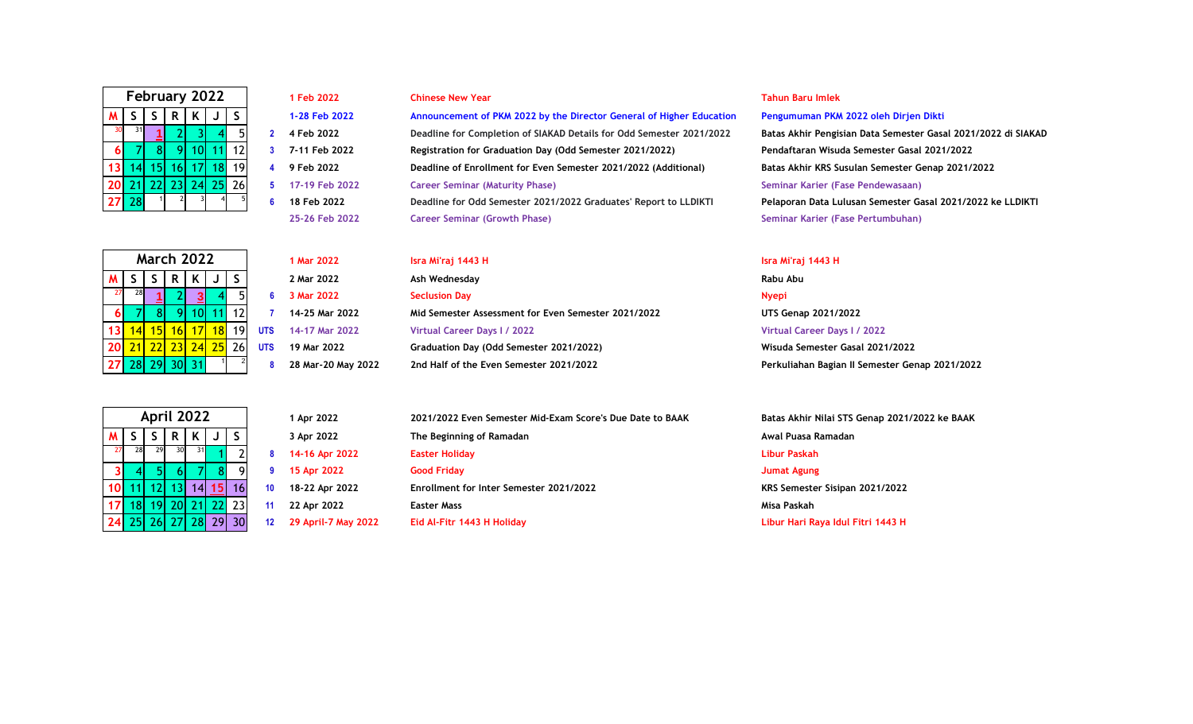| February 2022 |                                 |    |                |    |    |    |  |  |  |  |  |
|---------------|---------------------------------|----|----------------|----|----|----|--|--|--|--|--|
| M             | $\mathsf S$<br>K<br>S<br>S<br>R |    |                |    |    |    |  |  |  |  |  |
| 30            | 31                              |    | $\overline{2}$ |    |    | 5  |  |  |  |  |  |
| 6             |                                 | 8  |                | 10 | 1  | 12 |  |  |  |  |  |
| 13            | 14                              | 15 | 16             | 17 | 18 | 19 |  |  |  |  |  |
| 20            | 21                              | 22 | 23             | 24 | 25 | 26 |  |  |  |  |  |
| 5<br>28<br>27 |                                 |    |                |    |    |    |  |  |  |  |  |

|                | 1 Feb 2022    |
|----------------|---------------|
|                | 1-28 Feb 2022 |
| $\overline{2}$ | 4 Feb 2022    |
| 3              | 7-11 Feb 2022 |
| 4              | 9 Feb 2022    |
| 5              | 17-19 Feb 202 |
| հ              | 18 Feb 2022   |
|                |               |

**M S S R K J S 1-28 Feb 2022 Announcement of PKM 2022 by the Director General of Higher Education Pengumuman PKM 2022 oleh Dirjen Dikti** <sup>31</sup> **[1](https://www.liburnasional.com/kalender-lengkap-2022/)** 2 3 4 5 **2 4 Feb 2022 Deadline for Completion of SIAKAD Details for Odd Semester 2021/2022 Batas Akhir Pengisian Data Semester Gasal 2021/2022 di SIAKAD** 7 8 9 10 11 12 **3 7-11 Feb 2022 Registration for Graduation Day (Odd Semester 2021/2022) Pendaftaran Wisuda Semester Gasal 2021/2022** 14 15 16 17 18 19 **4 9 Feb 2022 Deadline of Enrollment for Even Semester 2021/2022 (Additional) Batas Akhir KRS Susulan Semester Genap 2021/2022** 21 22 23 24 25 26 **5 17-19 Feb 2022 Career Seminar (Maturity Phase) Seminar Karier (Fase Pendewasaan) 18 Feb 2022 Deadline for Odd Semester 2021/2022 Graduates' Report to LLDIKTI Pelaporan Data Lulusan Semester Gasal 2021/2022 ke LLDIKTI 25-26 Feb 2022 Career Seminar (Growth Phase) Seminar Karier (Fase Pertumbuhan)**

|    | <b>March 2022</b>                        |  |  |            | 1 Mar 2022         | Isra Mi'raj 1443 H                                  | Isra Mi'raj 1443 H                             |
|----|------------------------------------------|--|--|------------|--------------------|-----------------------------------------------------|------------------------------------------------|
|    |                                          |  |  |            | 2 Mar 2022         | Ash Wednesday                                       | Rabu Abu                                       |
| 27 |                                          |  |  |            | 3 Mar 2022         | <b>Seclusion Day</b>                                | <b>Nyepi</b>                                   |
|    | ЯI                                       |  |  |            | 14-25 Mar 2022     | Mid Semester Assessment for Even Semester 2021/2022 | UTS Genap 2021/2022                            |
|    | 13 <mark>  14  15  16  17  18 </mark> 19 |  |  | <b>UTS</b> | 14-17 Mar 2022     | Virtual Career Days I / 2022                        | Virtual Career Days I / 2022                   |
|    | 20 <mark>21 22 23 24 25</mark> 26        |  |  | <b>UTS</b> | 19 Mar 2022        | Graduation Day (Odd Semester 2021/2022)             | Wisuda Semester Gasal 2021/2022                |
|    | 27 28 29 1                               |  |  |            | 28 Mar-20 May 2022 | 2nd Half of the Even Semester 2021/2022             | Perkuliahan Bagian II Semester Genap 2021/2022 |

### **1 Feb 2022 Chinese New Year Tahun Baru Imlek**

|    | April 2022   |    |          |    |                |    |    |  |  |  |  |  |
|----|--------------|----|----------|----|----------------|----|----|--|--|--|--|--|
|    | S<br>K<br>R. |    |          |    |                |    |    |  |  |  |  |  |
| 27 | 28           | 29 | 30       | 31 |                | 2  | 8  |  |  |  |  |  |
|    |              | 51 | 6        |    | 8              | g  | 9  |  |  |  |  |  |
|    | 11           |    |          |    | 12 13 14 15    | 16 | 10 |  |  |  |  |  |
|    | 18           |    | 19 20 21 |    | 22             | 23 | 11 |  |  |  |  |  |
| 24 |              |    |          |    | 25 26 27 28 29 |    | 12 |  |  |  |  |  |

28 29 30 31 <sup>1</sup>

**March 2022**

|                | <b>April 2022</b> |      |              |           | 1 Apr 2022          | 2021/2022 Even Semester Mid-Exam Score's Due Date to BAAK | Batas Akhir Nilai STS Genap 2021/2022 ke BAAK |
|----------------|-------------------|------|--------------|-----------|---------------------|-----------------------------------------------------------|-----------------------------------------------|
|                | R.                |      |              |           | 3 Apr 2022          | The Beginning of Ramadan                                  | Awal Puasa Ramadan                            |
|                |                   | 31 I |              |           | 14-16 Apr 2022      | <b>Easter Holiday</b>                                     | Libur Paskah                                  |
|                |                   |      |              | ۵I        | 15 Apr 2022         | <b>Good Friday</b>                                        | Jumat Agung                                   |
| $10$ 11        |                   |      | 14 <b>15</b> | <b>16</b> | 18-22 Apr 2022      | Enrollment for Inter Semester 2021/2022                   | KRS Semester Sisipan 2021/2022                |
| 17 18 19       | -20L              |      |              | 23        | 22 Apr 2022         | <b>Easter Mass</b>                                        | Misa Paskah                                   |
| 24 25 26 27 28 |                   |      |              | 29 30     | 29 April-7 May 2022 | Eid Al-Fitr 1443 H Holiday                                | Libur Hari Raya Idul Fitri 1443 H             |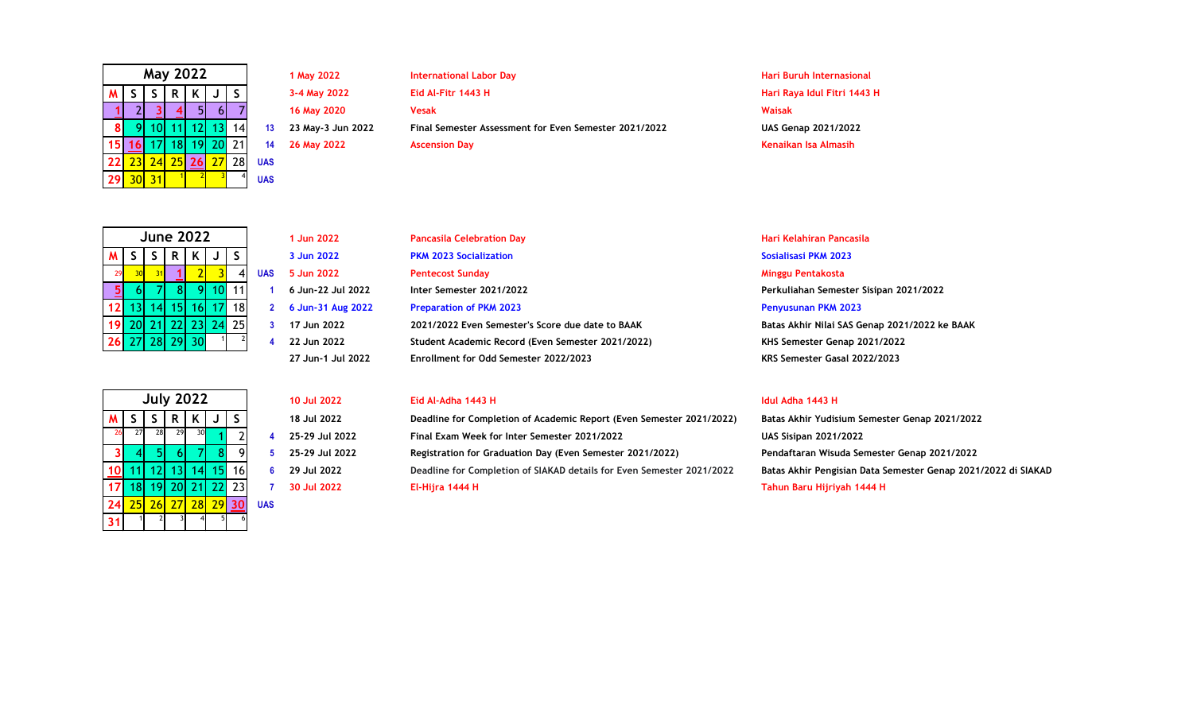|    | <b>May 2022</b>       |                 |    |                 |    |    |            |  |  |  |  |
|----|-----------------------|-----------------|----|-----------------|----|----|------------|--|--|--|--|
| м  | S<br>S<br>S<br>K<br>R |                 |    |                 |    |    |            |  |  |  |  |
|    |                       |                 |    | 5               |    |    |            |  |  |  |  |
| 8  |                       | 10 <sub>l</sub> | 11 | 12              | 13 | 14 | 13         |  |  |  |  |
| 15 | 16                    | 171             | 18 | 19 <sup>1</sup> | 20 | 21 | 14         |  |  |  |  |
| 22 | 23                    | 24              | 25 | 26              | 27 | 28 | <b>UAS</b> |  |  |  |  |
| 29 |                       | 31              |    |                 |    |    | <b>UAS</b> |  |  |  |  |

**1 May 2022 International Labor Day Hari Buruh Internasional M S S R K J S 3-4 May 2022 Eid Al-Fitr 1443 H Hari Raya Idul Fitri 1443 H** 2 **[3](https://www.liburnasional.com/kalender-lengkap-2022/) [4](https://www.liburnasional.com/kalender-lengkap-2022/)** 5 6 7 **16 May 2020 Vesak Waisak** 9 10 11 12 13 14 **13 23 May-3 Jun 2022 Final Semester Assessment for Even Semester 2021/2022 UAS Genap 2021/2022 [16](https://www.liburnasional.com/kalender-lengkap-2022/)** 17 18 19 20 21 **14 26 May 2022 Ascension Day Kenaikan Isa Almasih**

| <b>June 2022</b> |                        |    |                |   |    |    |     |  |  |  |
|------------------|------------------------|----|----------------|---|----|----|-----|--|--|--|
| M                | Κ<br>S<br>S<br>S<br>R. |    |                |   |    |    |     |  |  |  |
| 29               | 30                     | R. |                | 2 |    |    | UA: |  |  |  |
|                  | 6                      |    |                | 9 | 10 |    |     |  |  |  |
| 12               | 13                     |    | 14 15 16 17    |   |    | 18 |     |  |  |  |
|                  |                        |    | 19 20 21 22 23 |   | 24 | 25 |     |  |  |  |
| 26 27 28 29 30   |                        |    |                |   |    |    |     |  |  |  |

|    | <b>July 2022</b> |    |       |    |    |    |            |  |  |  |  |
|----|------------------|----|-------|----|----|----|------------|--|--|--|--|
| м  | S                | S  | R.    | K  |    | S  |            |  |  |  |  |
| 26 | 27               | 28 | 29    | 30 |    | 2  | 4          |  |  |  |  |
| 3  |                  | 51 | 6     |    | 8  | g  | 5          |  |  |  |  |
|    |                  | 12 | 13    | 14 | 15 | 16 | 6          |  |  |  |  |
|    | 18               |    | 19 20 | 21 | 22 | 23 | 7          |  |  |  |  |
| 24 | 25               | 26 | 27    | 28 | 29 | 30 | <b>UAS</b> |  |  |  |  |
|    |                  | 2  | 3     | 4  | 5  | 6  |            |  |  |  |  |

**1 Jun 2022 Pancasila Celebration Day Hari Kelahiran Pancasila M S S R K J S 3 Jun 2022 PKM 2023 Socialization Sosialisasi PKM 2023** <sup>30</sup> <sup>31</sup> **[1](https://www.liburnasional.com/kalender-lengkap-2022/)** 2 3 4 **UAS 5 Jun 2022 Pentecost Sunday Minggu Pentakosta** 6 7 8 9 10 11 **1 6 Jun-22 Jul 2022 Inter Semester 2021/2022 Perkuliahan Semester Sisipan 2021/2022** 13 14 15 16 17 18 **2 6 Jun-31 Aug 2022 Preparation of PKM 2023 Penyusunan PKM 2023** 20 21 22 23 24 25 **3 17 Jun 2022 2021/2022 Even Semester's Score due date to BAAK Batas Akhir Nilai SAS Genap 2021/2022 ke BAAK 22 Jun 2022 Student Academic Record (Even Semester 2021/2022) KHS Semester Genap 2021/2022**

### **10 Jul 2022 Eid Al-Adha 1443 H Idul Adha 1443 H**

**M S S R K J S 18 Jul 2022 Deadline for Completion of Academic Report (Even Semester 2021/2022) Batas Akhir Yudisium Semester Genap 2021/2022** <sup>27</sup> <sup>28</sup> <sup>29</sup> <sup>30</sup> 1 2 **4 25-29 Jul 2022 Final Exam Week for Inter Semester 2021/2022 UAS Sisipan 2021/2022** 4 5 6 7 8 9 **5 25-29 Jul 2022 Registration for Graduation Day (Even Semester 2021/2022) Pendaftaran Wisuda Semester Genap 2021/2022** 11 12 13 14 15 16 **6 29 Jul 2022 Deadline for Completion of SIAKAD details for Even Semester 2021/2022 Batas Akhir Pengisian Data Semester Genap 2021/2022 di SIAKAD** 18 19 20 21 22 23 **7 30 Jul 2022 El-Hijra 1444 H Tahun Baru Hijriyah 1444 H**

**27 Jun-1 Jul 2022 Enrollment for Odd Semester 2022/2023 KRS Semester Gasal 2022/2023**